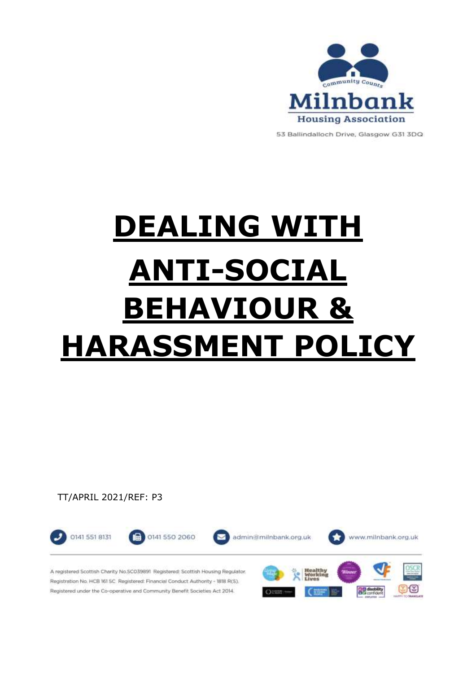

53 Ballindalloch Drive, Glasgow G31 3DQ

# **DEALING WITH ANTI-SOCIAL BEHAVIOUR & HARASSMENT POLICY**

TT/APRIL 2021/REF: P3

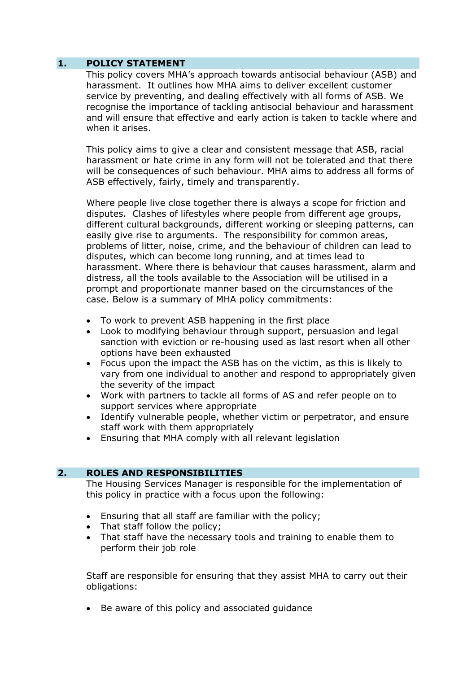# **1. POLICY STATEMENT**

This policy covers MHA's approach towards antisocial behaviour (ASB) and harassment. It outlines how MHA aims to deliver excellent customer service by preventing, and dealing effectively with all forms of ASB. We recognise the importance of tackling antisocial behaviour and harassment and will ensure that effective and early action is taken to tackle where and when it arises.

This policy aims to give a clear and consistent message that ASB, racial harassment or hate crime in any form will not be tolerated and that there will be consequences of such behaviour. MHA aims to address all forms of ASB effectively, fairly, timely and transparently.

Where people live close together there is always a scope for friction and disputes. Clashes of lifestyles where people from different age groups, different cultural backgrounds, different working or sleeping patterns, can easily give rise to arguments. The responsibility for common areas, problems of litter, noise, crime, and the behaviour of children can lead to disputes, which can become long running, and at times lead to harassment. Where there is behaviour that causes harassment, alarm and distress, all the tools available to the Association will be utilised in a prompt and proportionate manner based on the circumstances of the case. Below is a summary of MHA policy commitments:

- To work to prevent ASB happening in the first place
- Look to modifying behaviour through support, persuasion and legal sanction with eviction or re-housing used as last resort when all other options have been exhausted
- Focus upon the impact the ASB has on the victim, as this is likely to vary from one individual to another and respond to appropriately given the severity of the impact
- Work with partners to tackle all forms of AS and refer people on to support services where appropriate
- Identify vulnerable people, whether victim or perpetrator, and ensure staff work with them appropriately
- Ensuring that MHA comply with all relevant legislation

# **2. ROLES AND RESPONSIBILITIES**

The Housing Services Manager is responsible for the implementation of this policy in practice with a focus upon the following:

- Ensuring that all staff are familiar with the policy;
- That staff follow the policy;
- That staff have the necessary tools and training to enable them to perform their job role

Staff are responsible for ensuring that they assist MHA to carry out their obligations:

Be aware of this policy and associated guidance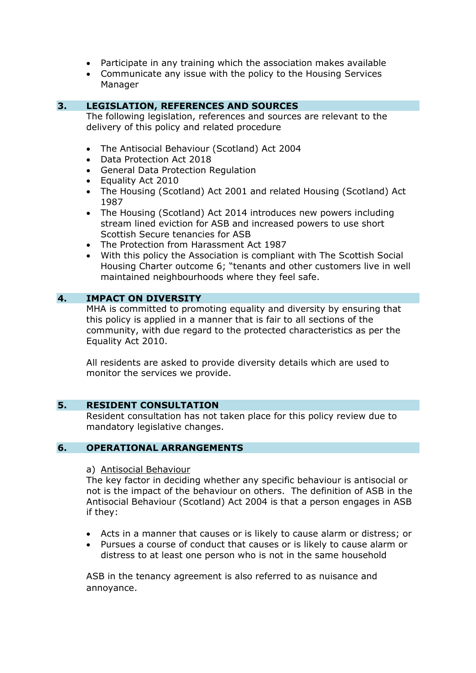- Participate in any training which the association makes available
- Communicate any issue with the policy to the Housing Services Manager

# **3. LEGISLATION, REFERENCES AND SOURCES**

The following legislation, references and sources are relevant to the delivery of this policy and related procedure

- The Antisocial Behaviour (Scotland) Act 2004
- Data Protection Act 2018
- General Data Protection Regulation
- Equality Act 2010
- The Housing (Scotland) Act 2001 and related Housing (Scotland) Act 1987
- The Housing (Scotland) Act 2014 introduces new powers including stream lined eviction for ASB and increased powers to use short Scottish Secure tenancies for ASB
- The Protection from Harassment Act 1987
- With this policy the Association is compliant with The Scottish Social Housing Charter outcome 6; "tenants and other customers live in well maintained neighbourhoods where they feel safe.

# **4. IMPACT ON DIVERSITY**

MHA is committed to promoting equality and diversity by ensuring that this policy is applied in a manner that is fair to all sections of the community, with due regard to the protected characteristics as per the Equality Act 2010.

All residents are asked to provide diversity details which are used to monitor the services we provide.

#### **5. RESIDENT CONSULTATION**

Resident consultation has not taken place for this policy review due to mandatory legislative changes.

## **6. OPERATIONAL ARRANGEMENTS**

#### a) Antisocial Behaviour

The key factor in deciding whether any specific behaviour is antisocial or not is the impact of the behaviour on others. The definition of ASB in the Antisocial Behaviour (Scotland) Act 2004 is that a person engages in ASB if they:

- Acts in a manner that causes or is likely to cause alarm or distress; or
- Pursues a course of conduct that causes or is likely to cause alarm or distress to at least one person who is not in the same household

ASB in the tenancy agreement is also referred to as nuisance and annoyance.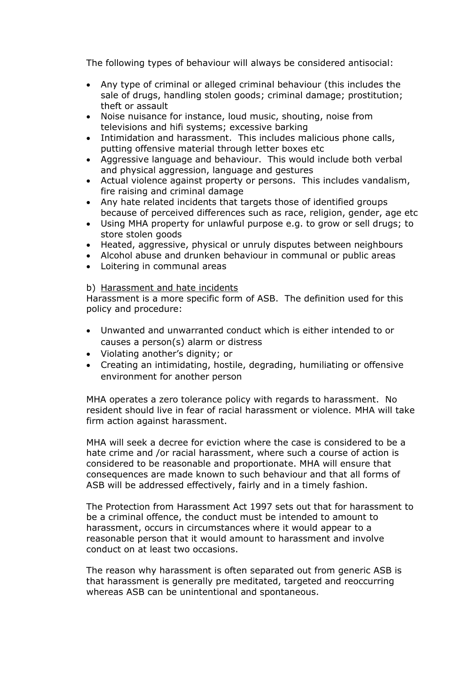The following types of behaviour will always be considered antisocial:

- Any type of criminal or alleged criminal behaviour (this includes the sale of drugs, handling stolen goods; criminal damage; prostitution; theft or assault
- Noise nuisance for instance, loud music, shouting, noise from televisions and hifi systems; excessive barking
- Intimidation and harassment. This includes malicious phone calls, putting offensive material through letter boxes etc
- Aggressive language and behaviour. This would include both verbal and physical aggression, language and gestures
- Actual violence against property or persons. This includes vandalism, fire raising and criminal damage
- Any hate related incidents that targets those of identified groups because of perceived differences such as race, religion, gender, age etc
- Using MHA property for unlawful purpose e.g. to grow or sell drugs; to store stolen goods
- Heated, aggressive, physical or unruly disputes between neighbours
- Alcohol abuse and drunken behaviour in communal or public areas
- Loitering in communal areas

#### b) Harassment and hate incidents

Harassment is a more specific form of ASB. The definition used for this policy and procedure:

- Unwanted and unwarranted conduct which is either intended to or causes a person(s) alarm or distress
- Violating another's dignity; or
- Creating an intimidating, hostile, degrading, humiliating or offensive environment for another person

MHA operates a zero tolerance policy with regards to harassment. No resident should live in fear of racial harassment or violence. MHA will take firm action against harassment.

MHA will seek a decree for eviction where the case is considered to be a hate crime and /or racial harassment, where such a course of action is considered to be reasonable and proportionate. MHA will ensure that consequences are made known to such behaviour and that all forms of ASB will be addressed effectively, fairly and in a timely fashion.

The Protection from Harassment Act 1997 sets out that for harassment to be a criminal offence, the conduct must be intended to amount to harassment, occurs in circumstances where it would appear to a reasonable person that it would amount to harassment and involve conduct on at least two occasions.

The reason why harassment is often separated out from generic ASB is that harassment is generally pre meditated, targeted and reoccurring whereas ASB can be unintentional and spontaneous.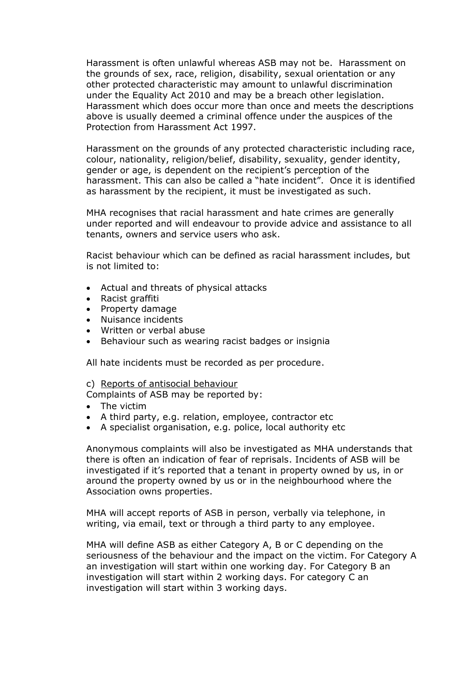Harassment is often unlawful whereas ASB may not be. Harassment on the grounds of sex, race, religion, disability, sexual orientation or any other protected characteristic may amount to unlawful discrimination under the Equality Act 2010 and may be a breach other legislation. Harassment which does occur more than once and meets the descriptions above is usually deemed a criminal offence under the auspices of the Protection from Harassment Act 1997.

Harassment on the grounds of any protected characteristic including race, colour, nationality, religion/belief, disability, sexuality, gender identity, gender or age, is dependent on the recipient's perception of the harassment. This can also be called a "hate incident". Once it is identified as harassment by the recipient, it must be investigated as such.

MHA recognises that racial harassment and hate crimes are generally under reported and will endeavour to provide advice and assistance to all tenants, owners and service users who ask.

Racist behaviour which can be defined as racial harassment includes, but is not limited to:

- Actual and threats of physical attacks
- Racist graffiti
- Property damage
- Nuisance incidents
- Written or verbal abuse
- Behaviour such as wearing racist badges or insignia

All hate incidents must be recorded as per procedure.

#### c) Reports of antisocial behaviour

Complaints of ASB may be reported by:

- The victim
- A third party, e.g. relation, employee, contractor etc
- A specialist organisation, e.g. police, local authority etc

Anonymous complaints will also be investigated as MHA understands that there is often an indication of fear of reprisals. Incidents of ASB will be investigated if it's reported that a tenant in property owned by us, in or around the property owned by us or in the neighbourhood where the Association owns properties.

MHA will accept reports of ASB in person, verbally via telephone, in writing, via email, text or through a third party to any employee.

MHA will define ASB as either Category A, B or C depending on the seriousness of the behaviour and the impact on the victim. For Category A an investigation will start within one working day. For Category B an investigation will start within 2 working days. For category C an investigation will start within 3 working days.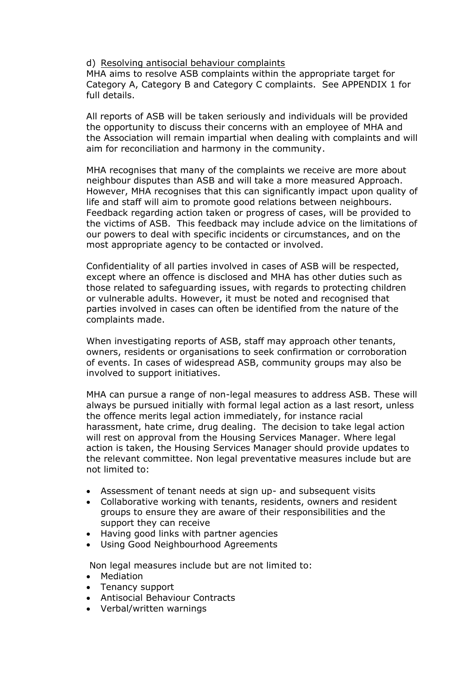#### d) Resolving antisocial behaviour complaints

MHA aims to resolve ASB complaints within the appropriate target for Category A, Category B and Category C complaints. See APPENDIX 1 for full details.

All reports of ASB will be taken seriously and individuals will be provided the opportunity to discuss their concerns with an employee of MHA and the Association will remain impartial when dealing with complaints and will aim for reconciliation and harmony in the community.

MHA recognises that many of the complaints we receive are more about neighbour disputes than ASB and will take a more measured Approach. However, MHA recognises that this can significantly impact upon quality of life and staff will aim to promote good relations between neighbours. Feedback regarding action taken or progress of cases, will be provided to the victims of ASB. This feedback may include advice on the limitations of our powers to deal with specific incidents or circumstances, and on the most appropriate agency to be contacted or involved.

Confidentiality of all parties involved in cases of ASB will be respected, except where an offence is disclosed and MHA has other duties such as those related to safeguarding issues, with regards to protecting children or vulnerable adults. However, it must be noted and recognised that parties involved in cases can often be identified from the nature of the complaints made.

When investigating reports of ASB, staff may approach other tenants, owners, residents or organisations to seek confirmation or corroboration of events. In cases of widespread ASB, community groups may also be involved to support initiatives.

MHA can pursue a range of non-legal measures to address ASB. These will always be pursued initially with formal legal action as a last resort, unless the offence merits legal action immediately, for instance racial harassment, hate crime, drug dealing. The decision to take legal action will rest on approval from the Housing Services Manager. Where legal action is taken, the Housing Services Manager should provide updates to the relevant committee. Non legal preventative measures include but are not limited to:

- Assessment of tenant needs at sign up- and subsequent visits
- Collaborative working with tenants, residents, owners and resident groups to ensure they are aware of their responsibilities and the support they can receive
- Having good links with partner agencies
- Using Good Neighbourhood Agreements

Non legal measures include but are not limited to:

- Mediation
- Tenancy support
- Antisocial Behaviour Contracts
- Verbal/written warnings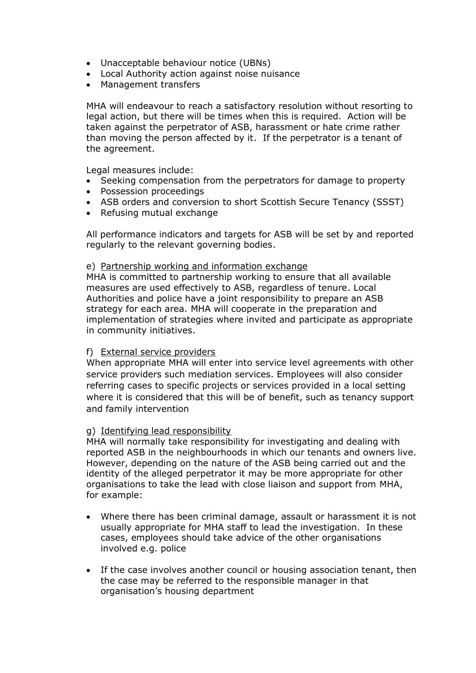- Unacceptable behaviour notice (UBNs)
- Local Authority action against noise nuisance
- Management transfers

MHA will endeavour to reach a satisfactory resolution without resorting to legal action, but there will be times when this is required. Action will be taken against the perpetrator of ASB, harassment or hate crime rather than moving the person affected by it. If the perpetrator is a tenant of the agreement.

Legal measures include:

- Seeking compensation from the perpetrators for damage to property
- Possession proceedings
- ASB orders and conversion to short Scottish Secure Tenancy (SSST)
- Refusing mutual exchange

All performance indicators and targets for ASB will be set by and reported regularly to the relevant governing bodies.

#### e) Partnership working and information exchange

MHA is committed to partnership working to ensure that all available measures are used effectively to ASB, regardless of tenure. Local Authorities and police have a joint responsibility to prepare an ASB strategy for each area. MHA will cooperate in the preparation and implementation of strategies where invited and participate as appropriate in community initiatives.

#### f) External service providers

When appropriate MHA will enter into service level agreements with other service providers such mediation services. Employees will also consider referring cases to specific projects or services provided in a local setting where it is considered that this will be of benefit, such as tenancy support and family intervention

#### g) Identifying lead responsibility

MHA will normally take responsibility for investigating and dealing with reported ASB in the neighbourhoods in which our tenants and owners live. However, depending on the nature of the ASB being carried out and the identity of the alleged perpetrator it may be more appropriate for other organisations to take the lead with close liaison and support from MHA, for example:

- Where there has been criminal damage, assault or harassment it is not usually appropriate for MHA staff to lead the investigation. In these cases, employees should take advice of the other organisations involved e.g. police
- If the case involves another council or housing association tenant, then the case may be referred to the responsible manager in that organisation's housing department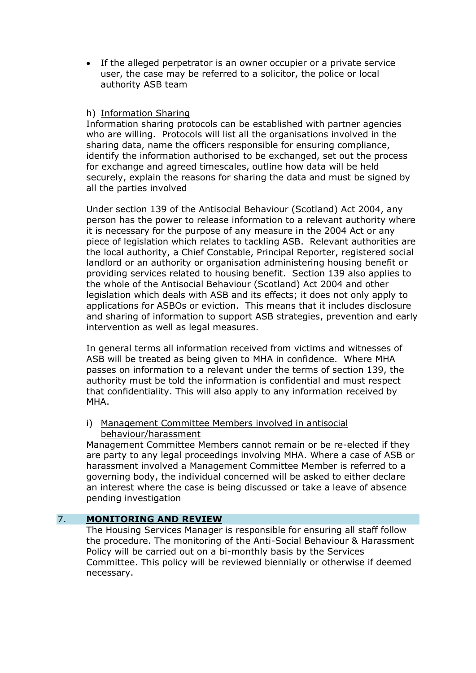If the alleged perpetrator is an owner occupier or a private service user, the case may be referred to a solicitor, the police or local authority ASB team

# h) Information Sharing

Information sharing protocols can be established with partner agencies who are willing. Protocols will list all the organisations involved in the sharing data, name the officers responsible for ensuring compliance, identify the information authorised to be exchanged, set out the process for exchange and agreed timescales, outline how data will be held securely, explain the reasons for sharing the data and must be signed by all the parties involved

Under section 139 of the Antisocial Behaviour (Scotland) Act 2004, any person has the power to release information to a relevant authority where it is necessary for the purpose of any measure in the 2004 Act or any piece of legislation which relates to tackling ASB. Relevant authorities are the local authority, a Chief Constable, Principal Reporter, registered social landlord or an authority or organisation administering housing benefit or providing services related to housing benefit. Section 139 also applies to the whole of the Antisocial Behaviour (Scotland) Act 2004 and other legislation which deals with ASB and its effects; it does not only apply to applications for ASBOs or eviction. This means that it includes disclosure and sharing of information to support ASB strategies, prevention and early intervention as well as legal measures.

In general terms all information received from victims and witnesses of ASB will be treated as being given to MHA in confidence. Where MHA passes on information to a relevant under the terms of section 139, the authority must be told the information is confidential and must respect that confidentiality. This will also apply to any information received by MHA.

# i) Management Committee Members involved in antisocial behaviour/harassment

Management Committee Members cannot remain or be re-elected if they are party to any legal proceedings involving MHA. Where a case of ASB or harassment involved a Management Committee Member is referred to a governing body, the individual concerned will be asked to either declare an interest where the case is being discussed or take a leave of absence pending investigation

# 7. **MONITORING AND REVIEW**

The Housing Services Manager is responsible for ensuring all staff follow the procedure. The monitoring of the Anti-Social Behaviour & Harassment Policy will be carried out on a bi-monthly basis by the Services Committee. This policy will be reviewed biennially or otherwise if deemed necessary.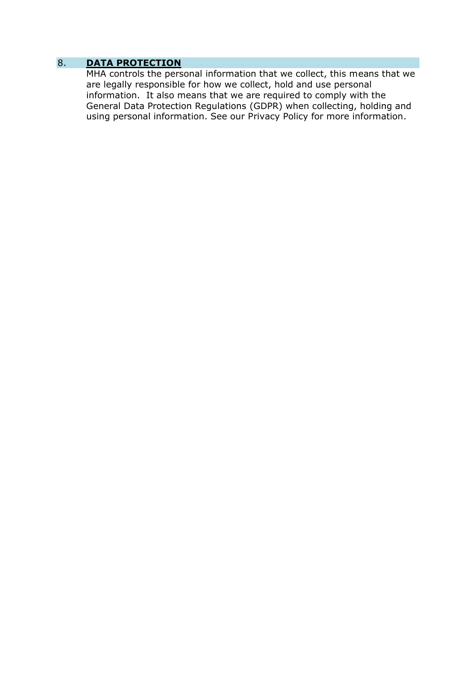# 8. **DATA PROTECTION**

MHA controls the personal information that we collect, this means that we are legally responsible for how we collect, hold and use personal information. It also means that we are required to comply with the General Data Protection Regulations (GDPR) when collecting, holding and using personal information. See our Privacy Policy for more information.